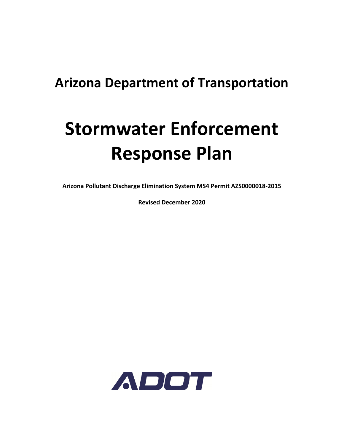# **Arizona Department of Transportation**

# **Stormwater Enforcement Response Plan**

**Arizona Pollutant Discharge Elimination System MS4 Permit AZS0000018‐2015** 

**Revised December 2020** 

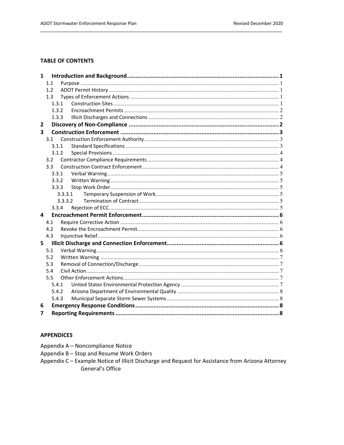#### **TABLE OF CONTENTS**

| $\mathbf{1}$            |                  |         |  |  |  |  |
|-------------------------|------------------|---------|--|--|--|--|
|                         | 1.1              |         |  |  |  |  |
|                         | 1.2 <sub>2</sub> |         |  |  |  |  |
|                         | 1.3              |         |  |  |  |  |
|                         | 1.3.1            |         |  |  |  |  |
|                         | 1.3.2            |         |  |  |  |  |
|                         | 1.3.3            |         |  |  |  |  |
| 2                       |                  |         |  |  |  |  |
| $\overline{\mathbf{3}}$ |                  |         |  |  |  |  |
|                         | 3.1              |         |  |  |  |  |
|                         | 3.1.1            |         |  |  |  |  |
|                         |                  | 3.1.2   |  |  |  |  |
|                         | 3.2              |         |  |  |  |  |
|                         | 3.3              |         |  |  |  |  |
|                         | 3.3.1            |         |  |  |  |  |
|                         | 3.3.2            |         |  |  |  |  |
|                         | 3.3.3            |         |  |  |  |  |
|                         |                  | 3.3.3.1 |  |  |  |  |
|                         |                  | 3.3.3.2 |  |  |  |  |
|                         | 3.3.4            |         |  |  |  |  |
| 4                       |                  |         |  |  |  |  |
|                         | 4.1              |         |  |  |  |  |
|                         | 4.2              |         |  |  |  |  |
|                         | 4.3              |         |  |  |  |  |
| 5                       |                  |         |  |  |  |  |
|                         | 5.1              |         |  |  |  |  |
|                         | 5.2              |         |  |  |  |  |
|                         | 5.3              |         |  |  |  |  |
|                         | 5.4              |         |  |  |  |  |
|                         | 5.5              |         |  |  |  |  |
|                         | 5.4.1            |         |  |  |  |  |
|                         |                  | 5.4.2   |  |  |  |  |
|                         | 5.4.3            |         |  |  |  |  |
| 6                       |                  |         |  |  |  |  |
| 7                       |                  |         |  |  |  |  |

#### **APPENDICES**

Appendix A - Noncompliance Notice

Appendix B - Stop and Resume Work Orders

Appendix C - Example Notice of Illicit Discharge and Request for Assistance from Arizona Attorney General's Office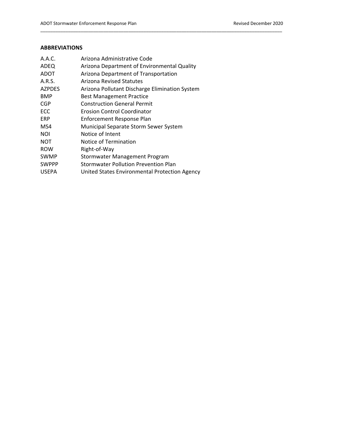#### **ABBREVIATIONS**

| A.A.C.        | Arizona Administrative Code                    |
|---------------|------------------------------------------------|
| ADEQ          | Arizona Department of Environmental Quality    |
| ADOT          | Arizona Department of Transportation           |
| A.R.S.        | Arizona Revised Statutes                       |
| <b>AZPDES</b> | Arizona Pollutant Discharge Elimination System |
| <b>BMP</b>    | <b>Best Management Practice</b>                |
| <b>CGP</b>    | <b>Construction General Permit</b>             |
| <b>ECC</b>    | Erosion Control Coordinator                    |
| ERP           | Enforcement Response Plan                      |
| MS4           | Municipal Separate Storm Sewer System          |
| <b>NOI</b>    | Notice of Intent                               |
| <b>NOT</b>    | Notice of Termination                          |
| <b>ROW</b>    | Right-of-Way                                   |
| <b>SWMP</b>   | Stormwater Management Program                  |
| <b>SWPPP</b>  | <b>Stormwater Pollution Prevention Plan</b>    |
| <b>USEPA</b>  | United States Environmental Protection Agency  |

\_\_\_\_\_\_\_\_\_\_\_\_\_\_\_\_\_\_\_\_\_\_\_\_\_\_\_\_\_\_\_\_\_\_\_\_\_\_\_\_\_\_\_\_\_\_\_\_\_\_\_\_\_\_\_\_\_\_\_\_\_\_\_\_\_\_\_\_\_\_\_\_\_\_\_\_\_\_\_\_\_\_\_\_\_\_\_\_\_\_\_\_\_\_\_\_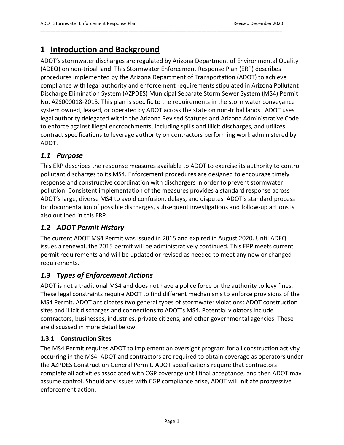# **1 Introduction and Background**

ADOT's stormwater discharges are regulated by Arizona Department of Environmental Quality (ADEQ) on non‐tribal land. This Stormwater Enforcement Response Plan (ERP) describes procedures implemented by the Arizona Department of Transportation (ADOT) to achieve compliance with legal authority and enforcement requirements stipulated in Arizona Pollutant Discharge Elimination System (AZPDES) Municipal Separate Storm Sewer System (MS4) Permit No. AZS000018‐2015. This plan is specific to the requirements in the stormwater conveyance system owned, leased, or operated by ADOT across the state on non-tribal lands. ADOT uses legal authority delegated within the Arizona Revised Statutes and Arizona Administrative Code to enforce against illegal encroachments, including spills and illicit discharges, and utilizes contract specifications to leverage authority on contractors performing work administered by ADOT.

\_\_\_\_\_\_\_\_\_\_\_\_\_\_\_\_\_\_\_\_\_\_\_\_\_\_\_\_\_\_\_\_\_\_\_\_\_\_\_\_\_\_\_\_\_\_\_\_\_\_\_\_\_\_\_\_\_\_\_\_\_\_\_\_\_\_\_\_\_\_\_\_\_\_\_\_\_\_\_\_\_\_\_\_\_\_\_\_\_\_\_\_\_\_\_\_

# *1.1 Purpose*

This ERP describes the response measures available to ADOT to exercise its authority to control pollutant discharges to its MS4. Enforcement procedures are designed to encourage timely response and constructive coordination with dischargers in order to prevent stormwater pollution. Consistent implementation of the measures provides a standard response across ADOT's large, diverse MS4 to avoid confusion, delays, and disputes. ADOT's standard process for documentation of possible discharges, subsequent investigations and follow‐up actions is also outlined in this ERP.

# *1.2 ADOT Permit History*

The current ADOT MS4 Permit was issued in 2015 and expired in August 2020. Until ADEQ issues a renewal, the 2015 permit will be administratively continued. This ERP meets current permit requirements and will be updated or revised as needed to meet any new or changed requirements.

# *1.3 Types of Enforcement Actions*

ADOT is not a traditional MS4 and does not have a police force or the authority to levy fines. These legal constraints require ADOT to find different mechanisms to enforce provisions of the MS4 Permit. ADOT anticipates two general types of stormwater violations: ADOT construction sites and illicit discharges and connections to ADOT's MS4. Potential violators include contractors, businesses, industries, private citizens, and other governmental agencies. These are discussed in more detail below.

#### **1.3.1 Construction Sites**

The MS4 Permit requires ADOT to implement an oversight program for all construction activity occurring in the MS4. ADOT and contractors are required to obtain coverage as operators under the AZPDES Construction General Permit. ADOT specifications require that contractors complete all activities associated with CGP coverage until final acceptance, and then ADOT may assume control. Should any issues with CGP compliance arise, ADOT will initiate progressive enforcement action.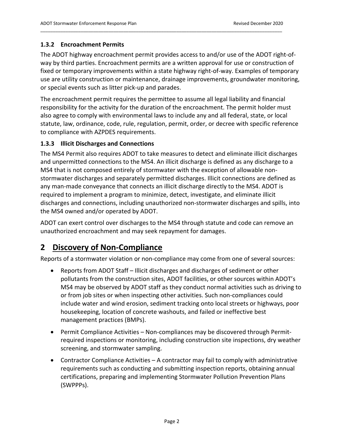#### **1.3.2 Encroachment Permits**

The ADOT highway encroachment permit provides access to and/or use of the ADOT right‐of‐ way by third parties. Encroachment permits are a written approval for use or construction of fixed or temporary improvements within a state highway right‐of‐way. Examples of temporary use are utility construction or maintenance, drainage improvements, groundwater monitoring, or special events such as litter pick‐up and parades.

\_\_\_\_\_\_\_\_\_\_\_\_\_\_\_\_\_\_\_\_\_\_\_\_\_\_\_\_\_\_\_\_\_\_\_\_\_\_\_\_\_\_\_\_\_\_\_\_\_\_\_\_\_\_\_\_\_\_\_\_\_\_\_\_\_\_\_\_\_\_\_\_\_\_\_\_\_\_\_\_\_\_\_\_\_\_\_\_\_\_\_\_\_\_\_\_

The encroachment permit requires the permittee to assume all legal liability and financial responsibility for the activity for the duration of the encroachment. The permit holder must also agree to comply with environmental laws to include any and all federal, state, or local statute, law, ordinance, code, rule, regulation, permit, order, or decree with specific reference to compliance with AZPDES requirements.

#### **1.3.3 Illicit Discharges and Connections**

The MS4 Permit also requires ADOT to take measures to detect and eliminate illicit discharges and unpermitted connections to the MS4. An illicit discharge is defined as any discharge to a MS4 that is not composed entirely of stormwater with the exception of allowable non‐ stormwater discharges and separately permitted discharges. Illicit connections are defined as any man‐made conveyance that connects an illicit discharge directly to the MS4. ADOT is required to implement a program to minimize, detect, investigate, and eliminate illicit discharges and connections, including unauthorized non‐stormwater discharges and spills, into the MS4 owned and/or operated by ADOT.

ADOT can exert control over discharges to the MS4 through statute and code can remove an unauthorized encroachment and may seek repayment for damages.

# **2 Discovery of Non‐Compliance**

Reports of a stormwater violation or non‐compliance may come from one of several sources:

- Reports from ADOT Staff Illicit discharges and discharges of sediment or other pollutants from the construction sites, ADOT facilities, or other sources within ADOT's MS4 may be observed by ADOT staff as they conduct normal activities such as driving to or from job sites or when inspecting other activities. Such non‐compliances could include water and wind erosion, sediment tracking onto local streets or highways, poor housekeeping, location of concrete washouts, and failed or ineffective best management practices (BMPs).
- Permit Compliance Activities Non-compliances may be discovered through Permitrequired inspections or monitoring, including construction site inspections, dry weather screening, and stormwater sampling.
- Contractor Compliance Activities A contractor may fail to comply with administrative requirements such as conducting and submitting inspection reports, obtaining annual certifications, preparing and implementing Stormwater Pollution Prevention Plans (SWPPPs).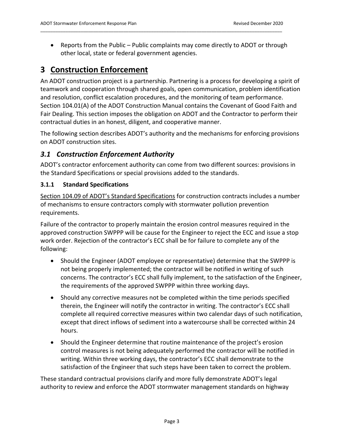Reports from the Public – Public complaints may come directly to ADOT or through other local, state or federal government agencies.

\_\_\_\_\_\_\_\_\_\_\_\_\_\_\_\_\_\_\_\_\_\_\_\_\_\_\_\_\_\_\_\_\_\_\_\_\_\_\_\_\_\_\_\_\_\_\_\_\_\_\_\_\_\_\_\_\_\_\_\_\_\_\_\_\_\_\_\_\_\_\_\_\_\_\_\_\_\_\_\_\_\_\_\_\_\_\_\_\_\_\_\_\_\_\_\_

# **3 Construction Enforcement**

An ADOT construction project is a partnership. Partnering is a process for developing a spirit of teamwork and cooperation through shared goals, open communication, problem identification and resolution, conflict escalation procedures, and the monitoring of team performance. Section 104.01(A) of the ADOT Construction Manual contains the Covenant of Good Faith and Fair Dealing. This section imposes the obligation on ADOT and the Contractor to perform their contractual duties in an honest, diligent, and cooperative manner.

The following section describes ADOT's authority and the mechanisms for enforcing provisions on ADOT construction sites.

# *3.1 Construction Enforcement Authority*

ADOT's contractor enforcement authority can come from two different sources: provisions in the Standard Specifications or special provisions added to the standards.

#### **3.1.1 Standard Specifications**

Section 104.09 of ADOT's Standard Specifications for construction contracts includes a number of mechanisms to ensure contractors comply with stormwater pollution prevention requirements.

Failure of the contractor to properly maintain the erosion control measures required in the approved construction SWPPP will be cause for the Engineer to reject the ECC and issue a stop work order. Rejection of the contractor's ECC shall be for failure to complete any of the following:

- Should the Engineer (ADOT employee or representative) determine that the SWPPP is not being properly implemented; the contractor will be notified in writing of such concerns. The contractor's ECC shall fully implement, to the satisfaction of the Engineer, the requirements of the approved SWPPP within three working days.
- Should any corrective measures not be completed within the time periods specified therein, the Engineer will notify the contractor in writing. The contractor's ECC shall complete all required corrective measures within two calendar days of such notification, except that direct inflows of sediment into a watercourse shall be corrected within 24 hours.
- Should the Engineer determine that routine maintenance of the project's erosion control measures is not being adequately performed the contractor will be notified in writing. Within three working days, the contractor's ECC shall demonstrate to the satisfaction of the Engineer that such steps have been taken to correct the problem.

These standard contractual provisions clarify and more fully demonstrate ADOT's legal authority to review and enforce the ADOT stormwater management standards on highway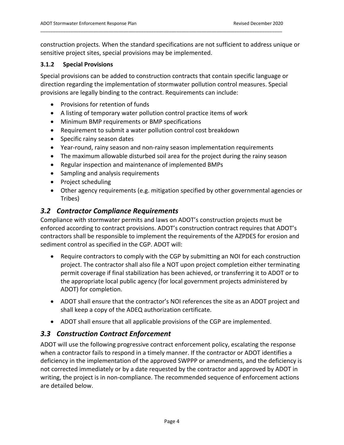construction projects. When the standard specifications are not sufficient to address unique or sensitive project sites, special provisions may be implemented.

\_\_\_\_\_\_\_\_\_\_\_\_\_\_\_\_\_\_\_\_\_\_\_\_\_\_\_\_\_\_\_\_\_\_\_\_\_\_\_\_\_\_\_\_\_\_\_\_\_\_\_\_\_\_\_\_\_\_\_\_\_\_\_\_\_\_\_\_\_\_\_\_\_\_\_\_\_\_\_\_\_\_\_\_\_\_\_\_\_\_\_\_\_\_\_\_

#### **3.1.2 Special Provisions**

Special provisions can be added to construction contracts that contain specific language or direction regarding the implementation of stormwater pollution control measures. Special provisions are legally binding to the contract. Requirements can include:

- Provisions for retention of funds
- A listing of temporary water pollution control practice items of work
- Minimum BMP requirements or BMP specifications
- Requirement to submit a water pollution control cost breakdown
- Specific rainy season dates
- Year-round, rainy season and non-rainy season implementation requirements
- The maximum allowable disturbed soil area for the project during the rainy season
- Regular inspection and maintenance of implemented BMPs
- Sampling and analysis requirements
- Project scheduling
- Other agency requirements (e.g. mitigation specified by other governmental agencies or Tribes)

#### *3.2 Contractor Compliance Requirements*

Compliance with stormwater permits and laws on ADOT's construction projects must be enforced according to contract provisions. ADOT's construction contract requires that ADOT's contractors shall be responsible to implement the requirements of the AZPDES for erosion and sediment control as specified in the CGP. ADOT will:

- Require contractors to comply with the CGP by submitting an NOI for each construction project. The contractor shall also file a NOT upon project completion either terminating permit coverage if final stabilization has been achieved, or transferring it to ADOT or to the appropriate local public agency (for local government projects administered by ADOT) for completion.
- ADOT shall ensure that the contractor's NOI references the site as an ADOT project and shall keep a copy of the ADEQ authorization certificate.
- ADOT shall ensure that all applicable provisions of the CGP are implemented.

#### *3.3 Construction Contract Enforcement*

ADOT will use the following progressive contract enforcement policy, escalating the response when a contractor fails to respond in a timely manner. If the contractor or ADOT identifies a deficiency in the implementation of the approved SWPPP or amendments, and the deficiency is not corrected immediately or by a date requested by the contractor and approved by ADOT in writing, the project is in non-compliance. The recommended sequence of enforcement actions are detailed below.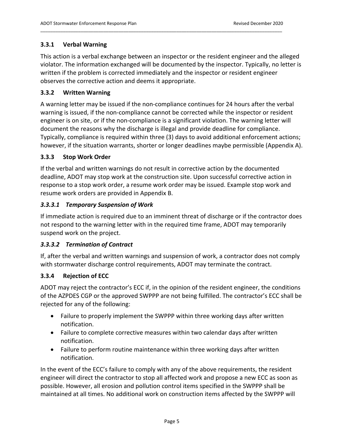#### **3.3.1 Verbal Warning**

This action is a verbal exchange between an inspector or the resident engineer and the alleged violator. The information exchanged will be documented by the inspector. Typically, no letter is written if the problem is corrected immediately and the inspector or resident engineer observes the corrective action and deems it appropriate.

\_\_\_\_\_\_\_\_\_\_\_\_\_\_\_\_\_\_\_\_\_\_\_\_\_\_\_\_\_\_\_\_\_\_\_\_\_\_\_\_\_\_\_\_\_\_\_\_\_\_\_\_\_\_\_\_\_\_\_\_\_\_\_\_\_\_\_\_\_\_\_\_\_\_\_\_\_\_\_\_\_\_\_\_\_\_\_\_\_\_\_\_\_\_\_\_

#### **3.3.2 Written Warning**

A warning letter may be issued if the non‐compliance continues for 24 hours after the verbal warning is issued, if the non-compliance cannot be corrected while the inspector or resident engineer is on site, or if the non-compliance is a significant violation. The warning letter will document the reasons why the discharge is illegal and provide deadline for compliance. Typically, compliance is required within three (3) days to avoid additional enforcement actions; however, if the situation warrants, shorter or longer deadlines maybe permissible (Appendix A).

#### **3.3.3 Stop Work Order**

If the verbal and written warnings do not result in corrective action by the documented deadline, ADOT may stop work at the construction site. Upon successful corrective action in response to a stop work order, a resume work order may be issued. Example stop work and resume work orders are provided in Appendix B.

#### *3.3.3.1 Temporary Suspension of Work*

If immediate action is required due to an imminent threat of discharge or if the contractor does not respond to the warning letter with in the required time frame, ADOT may temporarily suspend work on the project.

#### *3.3.3.2 Termination of Contract*

If, after the verbal and written warnings and suspension of work, a contractor does not comply with stormwater discharge control requirements, ADOT may terminate the contract.

#### **3.3.4 Rejection of ECC**

ADOT may reject the contractor's ECC if, in the opinion of the resident engineer, the conditions of the AZPDES CGP or the approved SWPPP are not being fulfilled. The contractor's ECC shall be rejected for any of the following:

- Failure to properly implement the SWPPP within three working days after written notification.
- Failure to complete corrective measures within two calendar days after written notification.
- Failure to perform routine maintenance within three working days after written notification.

In the event of the ECC's failure to comply with any of the above requirements, the resident engineer will direct the contractor to stop all affected work and propose a new ECC as soon as possible. However, all erosion and pollution control items specified in the SWPPP shall be maintained at all times. No additional work on construction items affected by the SWPPP will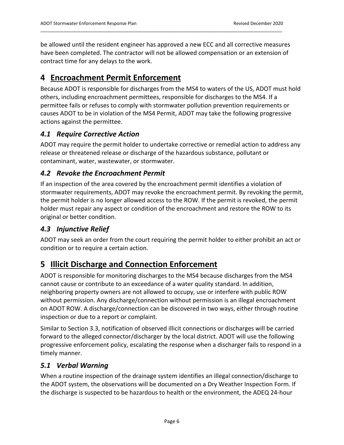be allowed until the resident engineer has approved a new ECC and all corrective measures have been completed. The contractor will not be allowed compensation or an extension of contract time for any delays to the work.

\_\_\_\_\_\_\_\_\_\_\_\_\_\_\_\_\_\_\_\_\_\_\_\_\_\_\_\_\_\_\_\_\_\_\_\_\_\_\_\_\_\_\_\_\_\_\_\_\_\_\_\_\_\_\_\_\_\_\_\_\_\_\_\_\_\_\_\_\_\_\_\_\_\_\_\_\_\_\_\_\_\_\_\_\_\_\_\_\_\_\_\_\_\_\_\_

# **4 Encroachment Permit Enforcement**

Because ADOT is responsible for discharges from the MS4 to waters of the US, ADOT must hold others, including encroachment permittees, responsible for discharges to the MS4. If a permittee fails or refuses to comply with stormwater pollution prevention requirements or causes ADOT to be in violation of the MS4 Permit, ADOT may take the following progressive actions against the permittee.

## *4.1 Require Corrective Action*

ADOT may require the permit holder to undertake corrective or remedial action to address any release or threatened release or discharge of the hazardous substance, pollutant or contaminant, water, wastewater, or stormwater.

# *4.2 Revoke the Encroachment Permit*

If an inspection of the area covered by the encroachment permit identifies a violation of stormwater requirements, ADOT may revoke the encroachment permit. By revoking the permit, the permit holder is no longer allowed access to the ROW. If the permit is revoked, the permit holder must repair any aspect or condition of the encroachment and restore the ROW to its original or better condition.

## *4.3 Injunctive Relief*

ADOT may seek an order from the court requiring the permit holder to either prohibit an act or condition or to require a certain action.

# **5 Illicit Discharge and Connection Enforcement**

ADOT is responsible for monitoring discharges to the MS4 because discharges from the MS4 cannot cause or contribute to an exceedance of a water quality standard. In addition, neighboring property owners are not allowed to occupy, use or interfere with public ROW without permission. Any discharge/connection without permission is an illegal encroachment on ADOT ROW. A discharge/connection can be discovered in two ways, either through routine inspection or due to a report or complaint.

Similar to Section 3.3, notification of observed illicit connections or discharges will be carried forward to the alleged connector/discharger by the local district. ADOT will use the following progressive enforcement policy, escalating the response when a discharger fails to respond in a timely manner.

## *5.1 Verbal Warning*

When a routine inspection of the drainage system identifies an illegal connection/discharge to the ADOT system, the observations will be documented on a Dry Weather Inspection Form. If the discharge is suspected to be hazardous to health or the environment, the ADEQ 24‐hour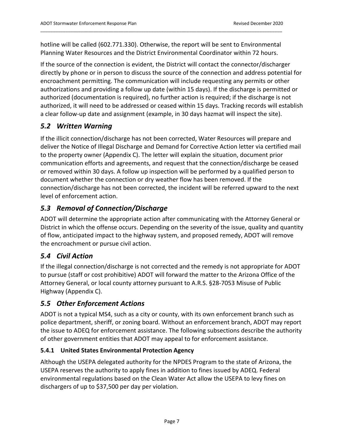hotline will be called (602.771.330). Otherwise, the report will be sent to Environmental Planning Water Resources and the District Environmental Coordinator within 72 hours.

\_\_\_\_\_\_\_\_\_\_\_\_\_\_\_\_\_\_\_\_\_\_\_\_\_\_\_\_\_\_\_\_\_\_\_\_\_\_\_\_\_\_\_\_\_\_\_\_\_\_\_\_\_\_\_\_\_\_\_\_\_\_\_\_\_\_\_\_\_\_\_\_\_\_\_\_\_\_\_\_\_\_\_\_\_\_\_\_\_\_\_\_\_\_\_\_

If the source of the connection is evident, the District will contact the connector/discharger directly by phone or in person to discuss the source of the connection and address potential for encroachment permitting. The communication will include requesting any permits or other authorizations and providing a follow up date (within 15 days). If the discharge is permitted or authorized (documentation is required), no further action is required; if the discharge is not authorized, it will need to be addressed or ceased within 15 days. Tracking records will establish a clear follow‐up date and assignment (example, in 30 days hazmat will inspect the site).

# *5.2 Written Warning*

If the illicit connection/discharge has not been corrected, Water Resources will prepare and deliver the Notice of Illegal Discharge and Demand for Corrective Action letter via certified mail to the property owner (Appendix C). The letter will explain the situation, document prior communication efforts and agreements, and request that the connection/discharge be ceased or removed within 30 days. A follow up inspection will be performed by a qualified person to document whether the connection or dry weather flow has been removed. If the connection/discharge has not been corrected, the incident will be referred upward to the next level of enforcement action.

# *5.3 Removal of Connection/Discharge*

ADOT will determine the appropriate action after communicating with the Attorney General or District in which the offense occurs. Depending on the severity of the issue, quality and quantity of flow, anticipated impact to the highway system, and proposed remedy, ADOT will remove the encroachment or pursue civil action.

# *5.4 Civil Action*

If the illegal connection/discharge is not corrected and the remedy is not appropriate for ADOT to pursue (staff or cost prohibitive) ADOT will forward the matter to the Arizona Office of the Attorney General, or local county attorney pursuant to A.R.S. §28‐7053 Misuse of Public Highway (Appendix C).

# *5.5 Other Enforcement Actions*

ADOT is not a typical MS4, such as a city or county, with its own enforcement branch such as police department, sheriff, or zoning board. Without an enforcement branch, ADOT may report the issue to ADEQ for enforcement assistance. The following subsections describe the authority of other government entities that ADOT may appeal to for enforcement assistance.

## **5.4.1 United States Environmental Protection Agency**

Although the USEPA delegated authority for the NPDES Program to the state of Arizona, the USEPA reserves the authority to apply fines in addition to fines issued by ADEQ. Federal environmental regulations based on the Clean Water Act allow the USEPA to levy fines on dischargers of up to \$37,500 per day per violation.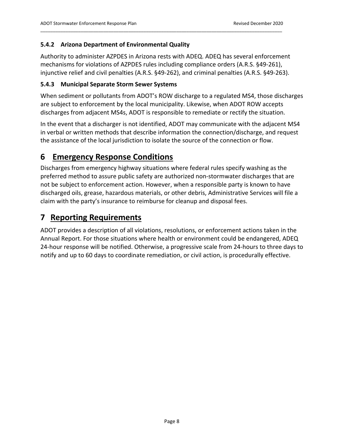#### **5.4.2 Arizona Department of Environmental Quality**

Authority to administer AZPDES in Arizona rests with ADEQ. ADEQ has several enforcement mechanisms for violations of AZPDES rules including compliance orders (A.R.S. §49‐261), injunctive relief and civil penalties (A.R.S. §49‐262), and criminal penalties (A.R.S. §49‐263).

\_\_\_\_\_\_\_\_\_\_\_\_\_\_\_\_\_\_\_\_\_\_\_\_\_\_\_\_\_\_\_\_\_\_\_\_\_\_\_\_\_\_\_\_\_\_\_\_\_\_\_\_\_\_\_\_\_\_\_\_\_\_\_\_\_\_\_\_\_\_\_\_\_\_\_\_\_\_\_\_\_\_\_\_\_\_\_\_\_\_\_\_\_\_\_\_

#### **5.4.3 Municipal Separate Storm Sewer Systems**

When sediment or pollutants from ADOT's ROW discharge to a regulated MS4, those discharges are subject to enforcement by the local municipality. Likewise, when ADOT ROW accepts discharges from adjacent MS4s, ADOT is responsible to remediate or rectify the situation.

In the event that a discharger is not identified, ADOT may communicate with the adjacent MS4 in verbal or written methods that describe information the connection/discharge, and request the assistance of the local jurisdiction to isolate the source of the connection or flow.

# **6 Emergency Response Conditions**

Discharges from emergency highway situations where federal rules specify washing as the preferred method to assure public safety are authorized non‐stormwater discharges that are not be subject to enforcement action. However, when a responsible party is known to have discharged oils, grease, hazardous materials, or other debris, Administrative Services will file a claim with the party's insurance to reimburse for cleanup and disposal fees.

# **7 Reporting Requirements**

ADOT provides a description of all violations, resolutions, or enforcement actions taken in the Annual Report. For those situations where health or environment could be endangered, ADEQ 24‐hour response will be notified. Otherwise, a progressive scale from 24‐hours to three days to notify and up to 60 days to coordinate remediation, or civil action, is procedurally effective.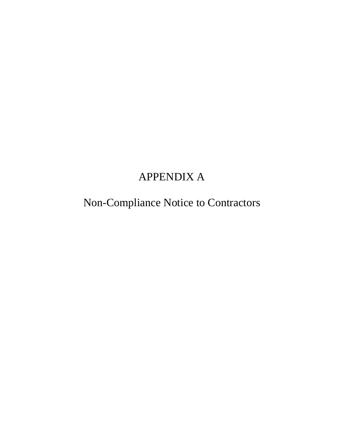# APPENDIX A

Non-Compliance Notice to Contractors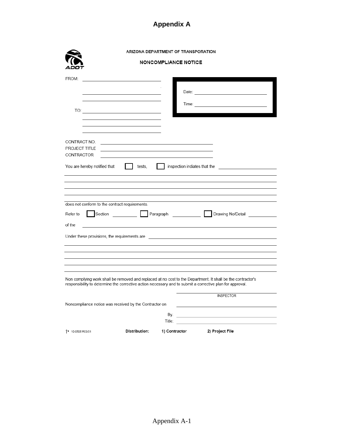# **Appendix A**

|                                                                                                           |                                      | ARIZONA DEPARTMENT OF TRANSPORATION                        |                                                                                                             |
|-----------------------------------------------------------------------------------------------------------|--------------------------------------|------------------------------------------------------------|-------------------------------------------------------------------------------------------------------------|
|                                                                                                           |                                      | <b>NONCOMPLIANCE NOTICE</b>                                |                                                                                                             |
| FROM:                                                                                                     |                                      |                                                            |                                                                                                             |
|                                                                                                           |                                      |                                                            |                                                                                                             |
| CONTRACT NO.                                                                                              |                                      |                                                            |                                                                                                             |
| PROJECT TITLE<br>CONTRACTOR                                                                               |                                      | <u> 1989 - Johann Barn, amerikansk politiker (d. 1989)</u> |                                                                                                             |
| You are hereby notified that                                                                              | $\mathbf{I}$<br>tests,               |                                                            | inspection indiates that the                                                                                |
|                                                                                                           |                                      |                                                            |                                                                                                             |
| does not conform to the contract requirements.                                                            |                                      |                                                            |                                                                                                             |
| Refer to                                                                                                  |                                      |                                                            | Section <b>Exercise Contract Paragraph Contract Department Drawing No/Detail</b>                            |
| of the                                                                                                    | <u> 1980 - Jan Barbara (j. 1980)</u> |                                                            |                                                                                                             |
|                                                                                                           |                                      |                                                            |                                                                                                             |
| responsibility to determine the corrective action necessary and to submit a corrective plan for approval. |                                      |                                                            | Non complying work shall be removed and replaced at no cost to the Department. It shall be the contractor's |
| Noncompliance notice was received by the Contractor on                                                    |                                      |                                                            | <b>INSPECTOR</b>                                                                                            |
|                                                                                                           |                                      | By:                                                        | <u> 1989 - Johann Stoff, fransk politik (d. 1989)</u>                                                       |
| <sup>+</sup> 10-0505 R03/01                                                                               | Distribution:                        | 1) Contractor                                              | 2) Project File                                                                                             |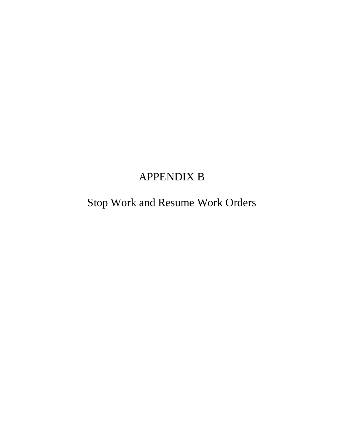# APPENDIX B

Stop Work and Resume Work Orders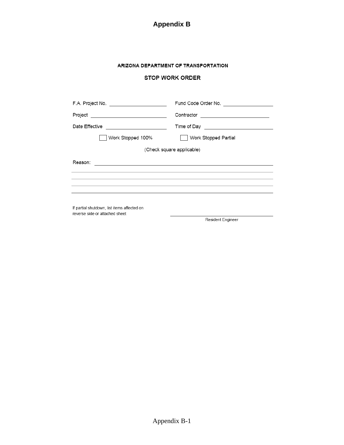

#### ARIZONA DEPARTMENT OF TRANSPORTATION

#### **STOP WORK ORDER**

| F.A. Project No. _______________________                                                                                                                                                                                                        | Fund Code Order No.       |  |  |  |
|-------------------------------------------------------------------------------------------------------------------------------------------------------------------------------------------------------------------------------------------------|---------------------------|--|--|--|
|                                                                                                                                                                                                                                                 |                           |  |  |  |
| Date Effective<br><u> 1989 - Johann Harry Barn, mars ar breist fan de Fryske kommunent (</u>                                                                                                                                                    |                           |  |  |  |
| Work Stopped 100%                                                                                                                                                                                                                               | Work Stopped Partial      |  |  |  |
|                                                                                                                                                                                                                                                 | (Check square applicable) |  |  |  |
| Reason:<br><u> 1980 - Jan Salaman, mangang mga kalendar ng mga kalendar ng mga kalendar ng mga kalendar ng mga kalendar ng mga kalendar ng mga kalendar ng mga kalendar.  Na mga kalendar ng mga kalendar ng mga kalendar ng mga kalendar n</u> |                           |  |  |  |
|                                                                                                                                                                                                                                                 |                           |  |  |  |
| If partial shutdown, list items affected on<br>reverse side or attached sheet                                                                                                                                                                   |                           |  |  |  |
|                                                                                                                                                                                                                                                 | Resident Engineer         |  |  |  |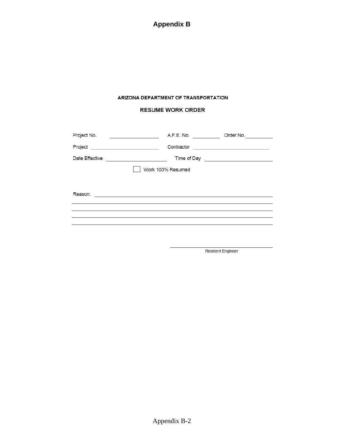**Appendix B**

#### ARIZONA DEPARTMENT OF TRANSPORTATION

#### **RESUME WORK ORDER**

| Project No. | A.F.E. No.<br>Order No.<br>the control of the control of the control of                                                              |
|-------------|--------------------------------------------------------------------------------------------------------------------------------------|
|             | Contractor<br><u> Alexandria (Carlo Carlo Carlo Carlo Carlo Carlo Carlo Carlo Carlo Carlo Carlo Carlo Carlo Carlo Carlo Carlo Ca</u> |
|             |                                                                                                                                      |
|             | Work 100% Resumed                                                                                                                    |
|             |                                                                                                                                      |
| Reason:     | <u> 1980 - Antonio Alemania, politikar politikar (h. 1980)</u>                                                                       |
|             |                                                                                                                                      |
|             | ,我们也不能会在这里,我们也不能会在这里,我们也不能会在这里,我们也不能会在这里,我们也不能会在这里,我们也不能会在这里,我们也不能会不能会不能会不能会不能会不                                                     |
|             |                                                                                                                                      |
|             |                                                                                                                                      |

Resident Engineer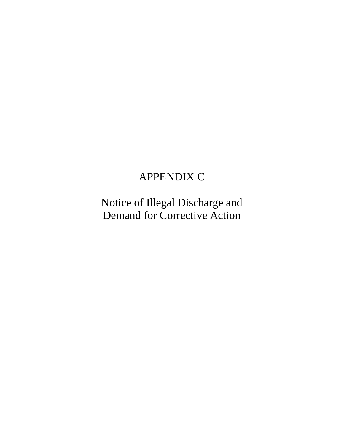# APPENDIX C

Notice of Illegal Discharge and Demand for Corrective Action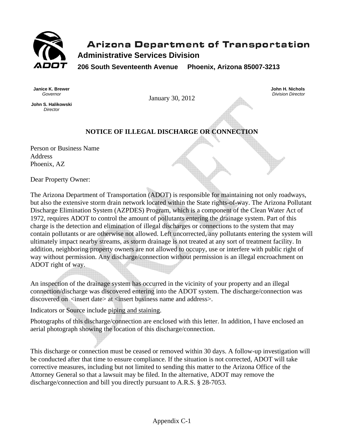

# **Arizona Department of Transportation Administrative Services Division**

**206 South Seventeenth Avenue Phoenix, Arizona 85007-3213** 

**Janice K. Brewer**  *Governor* 

**John S. Halikowski**  *Director* 

January 30, 2012

**John H. Nichols**  *Division Director*

# **NOTICE OF ILLEGAL DISCHARGE OR CONNECTION**

Person or Business Name Address Phoenix, AZ

Dear Property Owner:

The Arizona Department of Transportation (ADOT) is responsible for maintaining not only roadways, but also the extensive storm drain network located within the State rights-of-way. The Arizona Pollutant Discharge Elimination System (AZPDES) Program, which is a component of the Clean Water Act of 1972, requires ADOT to control the amount of pollutants entering the drainage system. Part of this charge is the detection and elimination of illegal discharges or connections to the system that may contain pollutants or are otherwise not allowed. Left uncorrected, any pollutants entering the system will ultimately impact nearby streams, as storm drainage is not treated at any sort of treatment facility. In addition, neighboring property owners are not allowed to occupy, use or interfere with public right of way without permission. Any discharge/connection without permission is an illegal encroachment on ADOT right of way.

An inspection of the drainage system has occurred in the vicinity of your property and an illegal connection/discharge was discovered entering into the ADOT system. The discharge/connection was discovered on <insert date> at <insert business name and address>.

Indicators or Source include piping and staining.

Photographs of this discharge/connection are enclosed with this letter. In addition, I have enclosed an aerial photograph showing the location of this discharge/connection.

This discharge or connection must be ceased or removed within 30 days. A follow-up investigation will be conducted after that time to ensure compliance. If the situation is not corrected, ADOT will take corrective measures, including but not limited to sending this matter to the Arizona Office of the Attorney General so that a lawsuit may be filed. In the alternative, ADOT may remove the discharge/connection and bill you directly pursuant to A.R.S. § 28-7053.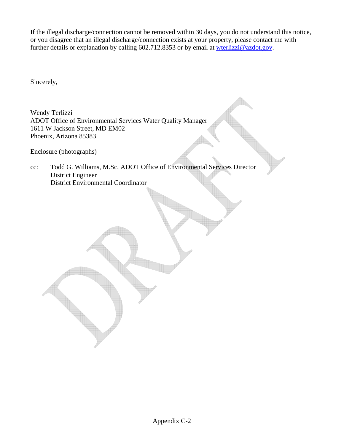If the illegal discharge/connection cannot be removed within 30 days, you do not understand this notice, or you disagree that an illegal discharge/connection exists at your property, please contact me with further details or explanation by calling 602.712.8353 or by email at wterlizzi@azdot.gov.

Sincerely,

Wendy Terlizzi ADOT Office of Environmental Services Water Quality Manager 1611 W Jackson Street, MD EM02 Phoenix, Arizona 85383

Enclosure (photographs)

cc: Todd G. Williams, M.Sc, ADOT Office of Environmental Services Director District Engineer District Environmental Coordinator